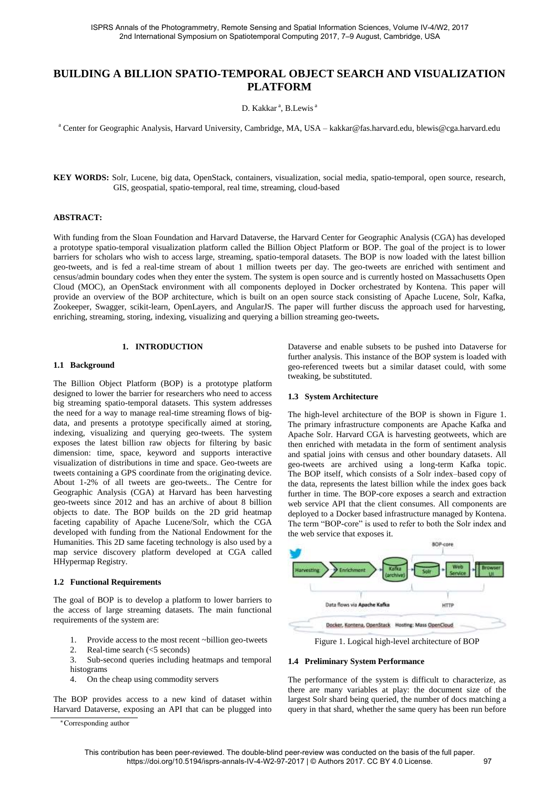# **BUILDING A BILLION SPATIO-TEMPORAL OBJECT SEARCH AND VISUALIZATION PLATFORM**

D. Kakkar<sup>a</sup>, B.Lewis<sup>a</sup>

a Center for Geographic Analysis, Harvard University, Cambridge, MA, USA – kakkar@fas.harvard.edu, blewis@cga.harvard.edu

**KEY WORDS:** Solr, Lucene, big data, OpenStack, containers, visualization, social media, spatio-temporal, open source, research, GIS, geospatial, spatio-temporal, real time, streaming, cloud-based

#### **ABSTRACT:**

With funding from the Sloan Foundation and Harvard Dataverse, the Harvard Center for Geographic Analysis (CGA) has developed a prototype spatio-temporal visualization platform called the Billion Object Platform or BOP. The goal of the project is to lower barriers for scholars who wish to access large, streaming, spatio-temporal datasets. The BOP is now loaded with the latest billion geo-tweets, and is fed a real-time stream of about 1 million tweets per day. The geo-tweets are enriched with sentiment and census/admin boundary codes when they enter the system. The system is open source and is currently hosted on Massachusetts Open Cloud (MOC), an OpenStack environment with all components deployed in Docker orchestrated by Kontena. This paper will provide an overview of the BOP architecture, which is built on an open source stack consisting of Apache Lucene, Solr, Kafka, Zookeeper, Swagger, scikit-learn, OpenLayers, and AngularJS. The paper will further discuss the approach used for harvesting, enriching, streaming, storing, indexing, visualizing and querying a billion streaming geo-tweets**.** 

#### **1. INTRODUCTION**

#### **1.1 Background**

The Billion Object Platform (BOP) is a prototype platform designed to lower the barrier for researchers who need to access big streaming spatio-temporal datasets. This system addresses the need for a way to manage real-time streaming flows of bigdata, and presents a prototype specifically aimed at storing, indexing, visualizing and querying geo-tweets. The system exposes the latest billion raw objects for filtering by basic dimension: time, space, keyword and supports interactive visualization of distributions in time and space. Geo-tweets are tweets containing a GPS coordinate from the originating device. About 1-2% of all tweets are geo-tweets.. The Centre for Geographic Analysis (CGA) at Harvard has been harvesting geo-tweets since 2012 and has an archive of about 8 billion objects to date. The BOP builds on the 2D grid heatmap faceting capability of Apache Lucene/Solr, which the CGA developed with funding from the National Endowment for the Humanities. This 2D same faceting technology is also used by a map service discovery platform developed at CGA called HHypermap Registry.

#### **1.2 Functional Requirements**

The goal of BOP is to develop a platform to lower barriers to the access of large streaming datasets. The main functional requirements of the system are:

- 1. Provide access to the most recent ~billion geo-tweets
- 2. Real-time search (<5 seconds)

3. Sub-second queries including heatmaps and temporal histograms

4. On the cheap using commodity servers

The BOP provides access to a new kind of dataset within Harvard Dataverse, exposing an API that can be plugged into Dataverse and enable subsets to be pushed into Dataverse for further analysis. This instance of the BOP system is loaded with geo-referenced tweets but a similar dataset could, with some tweaking, be substituted.

#### **1.3 System Architecture**

The high-level architecture of the BOP is shown in Figure 1. The primary infrastructure components are Apache Kafka and Apache Solr. Harvard CGA is harvesting geotweets, which are then enriched with metadata in the form of sentiment analysis and spatial joins with census and other boundary datasets. All geo-tweets are archived using a long-term Kafka topic. The BOP itself, which consists of a Solr index–based copy of the data, represents the latest billion while the index goes back further in time. The BOP-core exposes a search and extraction web service API that the client consumes. All components are deployed to a Docker based infrastructure managed by Kontena. The term "BOP-core" is used to refer to both the Solr index and the web service that exposes it.



Figure 1. Logical high-level architecture of BOP

#### **1.4 Preliminary System Performance**

The performance of the system is difficult to characterize, as there are many variables at play: the document size of the largest Solr shard being queried, the number of docs matching a query in that shard, whether the same query has been run before

<sup>∗</sup>Corresponding author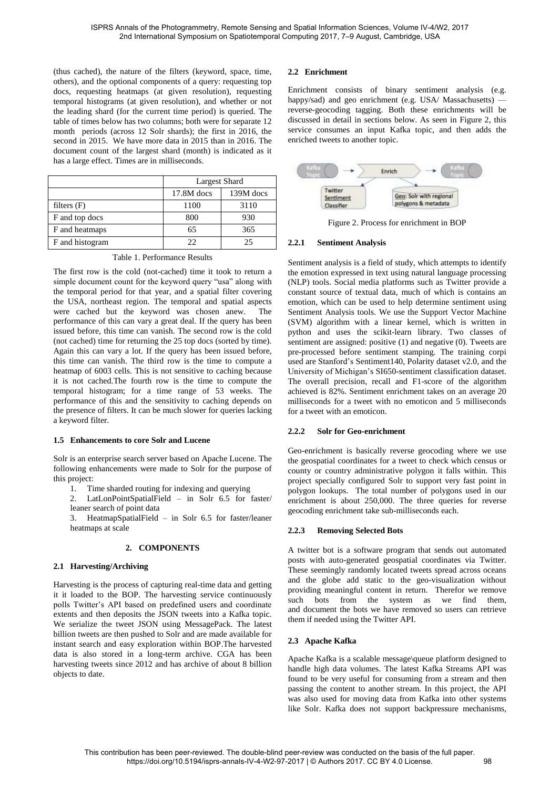(thus cached), the nature of the filters (keyword, space, time, others), and the optional components of a query: requesting top docs, requesting heatmaps (at given resolution), requesting temporal histograms (at given resolution), and whether or not the leading shard (for the current time period) is queried. The table of times below has two columns; both were for separate 12 month periods (across 12 Solr shards); the first in 2016, the second in 2015. We have more data in 2015 than in 2016. The document count of the largest shard (month) is indicated as it has a large effect. Times are in milliseconds.

|                 | Largest Shard |           |
|-----------------|---------------|-----------|
|                 | 17.8M docs    | 139M docs |
| filters $(F)$   | 1100          | 3110      |
| F and top docs  | 800           | 930       |
| F and heatmaps  | 65            | 365       |
| F and histogram |               | 25        |

Table 1. Performance Results

The first row is the cold (not-cached) time it took to return a simple document count for the keyword query "usa" along with the temporal period for that year, and a spatial filter covering the USA, northeast region. The temporal and spatial aspects were cached but the keyword was chosen anew. The performance of this can vary a great deal. If the query has been issued before, this time can vanish. The second row is the cold (not cached) time for returning the 25 top docs (sorted by time). Again this can vary a lot. If the query has been issued before, this time can vanish. The third row is the time to compute a heatmap of 6003 cells. This is not sensitive to caching because it is not cached.The fourth row is the time to compute the temporal histogram; for a time range of 53 weeks. The performance of this and the sensitivity to caching depends on the presence of filters. It can be much slower for queries lacking a keyword filter.

#### **1.5 Enhancements to core Solr and Lucene**

Solr is an enterprise search server based on Apache Lucene. The following enhancements were made to Solr for the purpose of this project:

- 1. Time sharded routing for indexing and querying
- 2. LatLonPointSpatialField in Solr 6.5 for faster/ leaner search of point data

3. HeatmapSpatialField – in Solr 6.5 for faster/leaner heatmaps at scale

## **2. COMPONENTS**

## **2.1 Harvesting/Archiving**

Harvesting is the process of capturing real-time data and getting it it loaded to the BOP. The harvesting service continuously polls Twitter's API based on predefined users and coordinate extents and then deposits the JSON tweets into a Kafka topic. We serialize the tweet JSON using MessagePack. The latest billion tweets are then pushed to Solr and are made available for instant search and easy exploration within BOP.The harvested data is also stored in a long-term archive. CGA has been harvesting tweets since 2012 and has archive of about 8 billion objects to date.

## **2.2 Enrichment**

Enrichment consists of binary sentiment analysis (e.g. happy/sad) and geo enrichment (e.g. USA/ Massachusetts) reverse-geocoding tagging. Both these enrichments will be discussed in detail in sections below. As seen in Figure 2, this service consumes an input Kafka topic, and then adds the enriched tweets to another topic.



Figure 2. Process for enrichment in BOP

## **2.2.1 Sentiment Analysis**

Sentiment analysis is a field of study, which attempts to identify the emotion expressed in text using natural language processing (NLP) tools. Social media platforms such as Twitter provide a constant source of textual data, much of which is contains an emotion, which can be used to help determine sentiment using Sentiment Analysis tools. We use the Support Vector Machine (SVM) algorithm with a linear kernel, which is written in python and uses the scikit-learn library. Two classes of sentiment are assigned: positive (1) and negative (0). Tweets are pre-processed before sentiment stamping. The training corpi used are Stanford's Sentiment140, Polarity dataset v2.0, and the University of Michigan's SI650-sentiment classification dataset. The overall precision, recall and F1-score of the algorithm achieved is 82%. Sentiment enrichment takes on an average 20 milliseconds for a tweet with no emoticon and 5 milliseconds for a tweet with an emoticon.

## **2.2.2 Solr for Geo-enrichment**

Geo-enrichment is basically reverse geocoding where we use the geospatial coordinates for a tweet to check which census or county or country administrative polygon it falls within. This project specially configured Solr to support very fast point in polygon lookups. The total number of polygons used in our enrichment is about 250,000. The three queries for reverse geocoding enrichment take sub-milliseconds each.

# **2.2.3 Removing Selected Bots**

A twitter bot is a software program that sends out automated posts with auto-generated geospatial coordinates via Twitter. These seemingly randomly located tweets spread across oceans and the globe add static to the geo-visualization without providing meaningful content in return. Therefor we remove such bots from the system as we find them, and document the bots we have removed so users can retrieve them if needed using the Twitter API.

## **2.3 Apache Kafka**

Apache Kafka is a scalable message\queue platform designed to handle high data volumes. The latest Kafka Streams API was found to be very useful for consuming from a stream and then passing the content to another stream. In this project, the API was also used for moving data from Kafka into other systems like Solr. Kafka does not support backpressure mechanisms,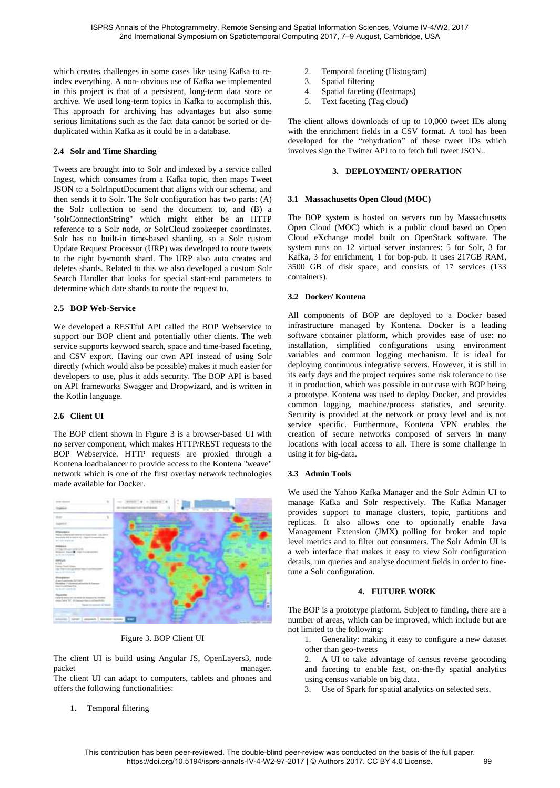which creates challenges in some cases like using Kafka to reindex everything. A non- obvious use of Kafka we implemented in this project is that of a persistent, long-term data store or archive. We used long-term topics in Kafka to accomplish this. This approach for archiving has advantages but also some serious limitations such as the fact data cannot be sorted or deduplicated within Kafka as it could be in a database.

#### **2.4 Solr and Time Sharding**

Tweets are brought into to Solr and indexed by a service called Ingest, which consumes from a Kafka topic, then maps Tweet JSON to a SolrInputDocument that aligns with our schema, and then sends it to Solr. The Solr configuration has two parts: (A) the Solr collection to send the document to, and (B) a "solrConnectionString" which might either be an HTTP reference to a Solr node, or SolrCloud zookeeper coordinates. Solr has no built-in time-based sharding, so a Solr custom Update Request Processor (URP) was developed to route tweets to the right by-month shard. The URP also auto creates and deletes shards. Related to this we also developed a custom Solr Search Handler that looks for special start-end parameters to determine which date shards to route the request to.

### **2.5 BOP Web-Service**

We developed a RESTful API called the BOP Webservice to support our BOP client and potentially other clients. The web service supports keyword search, space and time-based faceting, and CSV export. Having our own API instead of using Solr directly (which would also be possible) makes it much easier for developers to use, plus it adds security. The BOP API is based on API frameworks Swagger and Dropwizard, and is written in the Kotlin language.

## **2.6 Client UI**

The BOP client shown in Figure 3 is a browser-based UI with no server component, which makes HTTP/REST requests to the BOP Webservice. HTTP requests are proxied through a Kontena loadbalancer to provide access to the Kontena "weave" network which is one of the first overlay network technologies made available for Docker.



Figure 3. BOP Client UI

The client UI is build using Angular JS, OpenLayers3, node packet manager. The client UI can adapt to computers, tablets and phones and

offers the following functionalities:

1. Temporal filtering

- 2. Temporal faceting (Histogram)<br>3. Spatial filtering
- Spatial filtering
- 4. Spatial faceting (Heatmaps)
- 5. Text faceting (Tag cloud)

The client allows downloads of up to 10,000 tweet IDs along with the enrichment fields in a CSV format. A tool has been developed for the "rehydration" of these tweet IDs which involves sign the Twitter API to to fetch full tweet JSON..

### **3. DEPLOYMENT/ OPERATION**

### **3.1 Massachusetts Open Cloud (MOC)**

The BOP system is hosted on servers run by Massachusetts Open Cloud (MOC) which is a public cloud based on Open Cloud eXchange model built on OpenStack software. The system runs on 12 virtual server instances: 5 for Solr, 3 for Kafka, 3 for enrichment, 1 for bop-pub. It uses 217GB RAM, 3500 GB of disk space, and consists of 17 services (133 containers).

### **3.2 Docker/ Kontena**

All components of BOP are deployed to a Docker based infrastructure managed by Kontena. Docker is a leading software container platform, which provides ease of use: no installation, simplified configurations using environment variables and common logging mechanism. It is ideal for deploying continuous integrative servers. However, it is still in its early days and the project requires some risk tolerance to use it in production, which was possible in our case with BOP being a prototype. Kontena was used to deploy Docker, and provides common logging, machine/process statistics, and security. Security is provided at the network or proxy level and is not service specific. Furthermore, Kontena VPN enables the creation of secure networks composed of servers in many locations with local access to all. There is some challenge in using it for big-data.

## **3.3 Admin Tools**

We used the Yahoo Kafka Manager and the Solr Admin UI to manage Kafka and Solr respectively. The Kafka Manager provides support to manage clusters, topic, partitions and replicas. It also allows one to optionally enable Java Management Extension (JMX) polling for broker and topic level metrics and to filter out consumers. The Solr Admin UI is a web interface that makes it easy to view Solr configuration details, run queries and analyse document fields in order to finetune a Solr configuration.

## **4. FUTURE WORK**

The BOP is a prototype platform. Subject to funding, there are a number of areas, which can be improved, which include but are not limited to the following:

1. Generality: making it easy to configure a new dataset other than geo-tweets

2. A UI to take advantage of census reverse geocoding and faceting to enable fast, on-the-fly spatial analytics using census variable on big data.

3. Use of Spark for spatial analytics on selected sets.